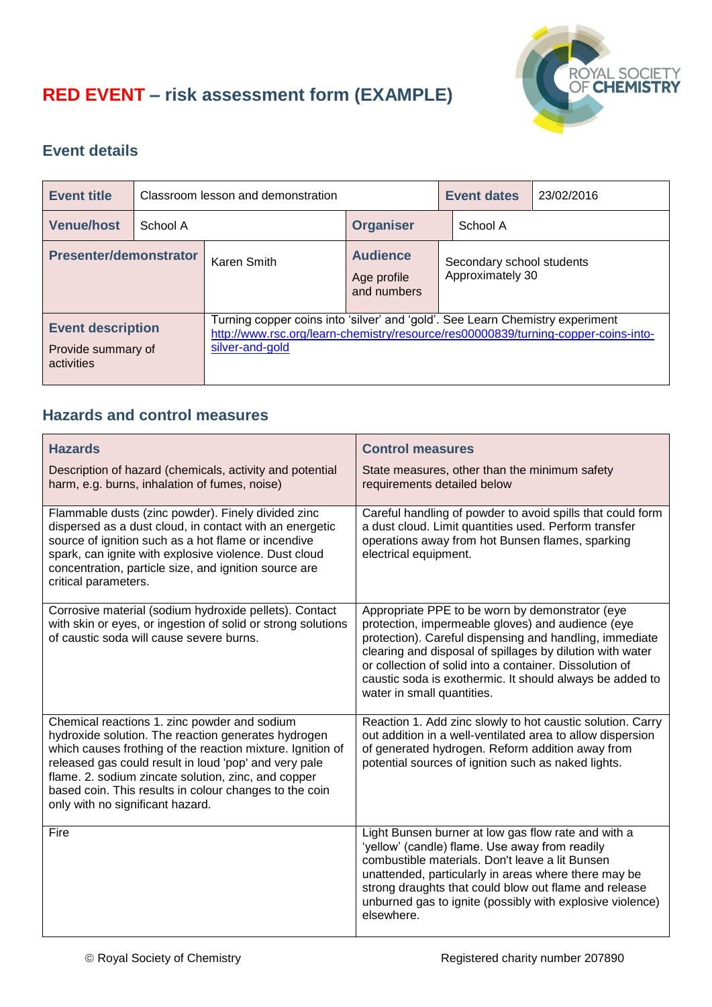## **RED EVENT – risk assessment form (EXAMPLE)**



## **Event details**

| <b>Event title</b>                                           |          | Classroom lesson and demonstration                                                                                                                                                     |                                               | <b>Event dates</b> | 23/02/2016                                    |  |
|--------------------------------------------------------------|----------|----------------------------------------------------------------------------------------------------------------------------------------------------------------------------------------|-----------------------------------------------|--------------------|-----------------------------------------------|--|
| <b>Venue/host</b>                                            | School A |                                                                                                                                                                                        | <b>Organiser</b>                              | School A           |                                               |  |
| <b>Presenter/demonstrator</b>                                |          | Karen Smith                                                                                                                                                                            | <b>Audience</b><br>Age profile<br>and numbers |                    | Secondary school students<br>Approximately 30 |  |
| <b>Event description</b><br>Provide summary of<br>activities |          | Turning copper coins into 'silver' and 'gold'. See Learn Chemistry experiment<br>http://www.rsc.org/learn-chemistry/resource/res00000839/turning-copper-coins-into-<br>silver-and-gold |                                               |                    |                                               |  |

## **Hazards and control measures**

| <b>Hazards</b><br>Description of hazard (chemicals, activity and potential<br>harm, e.g. burns, inhalation of fumes, noise)                                                                                                                                                                                                                                                     | <b>Control measures</b><br>State measures, other than the minimum safety<br>requirements detailed below                                                                                                                                                                                                                                                                           |
|---------------------------------------------------------------------------------------------------------------------------------------------------------------------------------------------------------------------------------------------------------------------------------------------------------------------------------------------------------------------------------|-----------------------------------------------------------------------------------------------------------------------------------------------------------------------------------------------------------------------------------------------------------------------------------------------------------------------------------------------------------------------------------|
| Flammable dusts (zinc powder). Finely divided zinc<br>dispersed as a dust cloud, in contact with an energetic<br>source of ignition such as a hot flame or incendive<br>spark, can ignite with explosive violence. Dust cloud<br>concentration, particle size, and ignition source are<br>critical parameters.                                                                  | Careful handling of powder to avoid spills that could form<br>a dust cloud. Limit quantities used. Perform transfer<br>operations away from hot Bunsen flames, sparking<br>electrical equipment.                                                                                                                                                                                  |
| Corrosive material (sodium hydroxide pellets). Contact<br>with skin or eyes, or ingestion of solid or strong solutions<br>of caustic soda will cause severe burns.                                                                                                                                                                                                              | Appropriate PPE to be worn by demonstrator (eye<br>protection, impermeable gloves) and audience (eye<br>protection). Careful dispensing and handling, immediate<br>clearing and disposal of spillages by dilution with water<br>or collection of solid into a container. Dissolution of<br>caustic soda is exothermic. It should always be added to<br>water in small quantities. |
| Chemical reactions 1. zinc powder and sodium<br>hydroxide solution. The reaction generates hydrogen<br>which causes frothing of the reaction mixture. Ignition of<br>released gas could result in loud 'pop' and very pale<br>flame. 2. sodium zincate solution, zinc, and copper<br>based coin. This results in colour changes to the coin<br>only with no significant hazard. | Reaction 1. Add zinc slowly to hot caustic solution. Carry<br>out addition in a well-ventilated area to allow dispersion<br>of generated hydrogen. Reform addition away from<br>potential sources of ignition such as naked lights.                                                                                                                                               |
| Fire                                                                                                                                                                                                                                                                                                                                                                            | Light Bunsen burner at low gas flow rate and with a<br>'yellow' (candle) flame. Use away from readily<br>combustible materials. Don't leave a lit Bunsen<br>unattended, particularly in areas where there may be<br>strong draughts that could blow out flame and release<br>unburned gas to ignite (possibly with explosive violence)<br>elsewhere.                              |